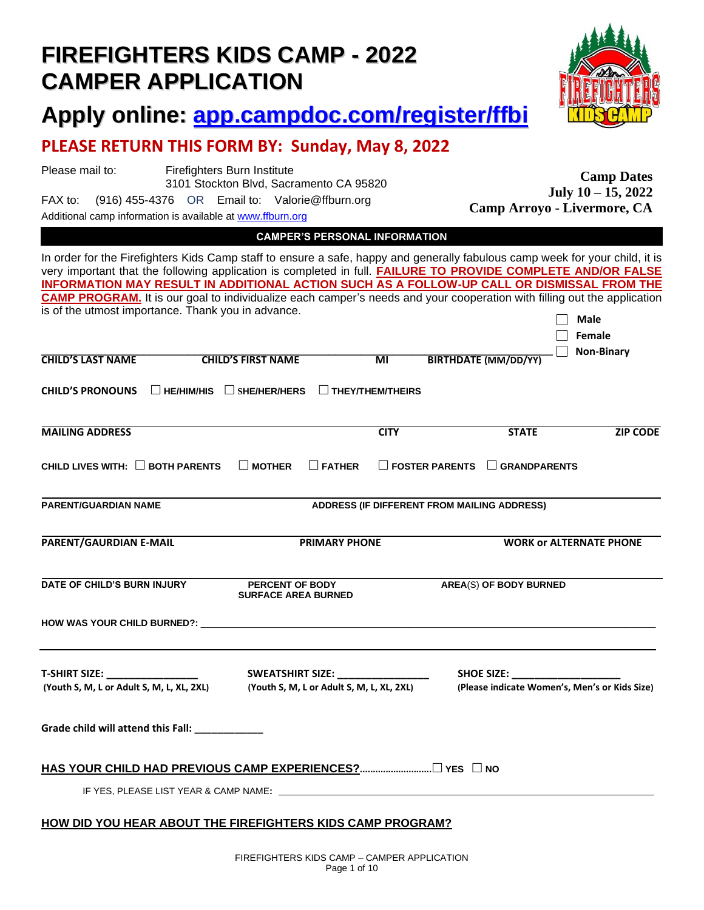|                                                                   | Profile Dilly This Political Sunday, May 9, 2022                                                                                                                                                                                                                                                                                                                                                                                                                                                                                                                |                                                                               |                       |                                                                    |                                            |
|-------------------------------------------------------------------|-----------------------------------------------------------------------------------------------------------------------------------------------------------------------------------------------------------------------------------------------------------------------------------------------------------------------------------------------------------------------------------------------------------------------------------------------------------------------------------------------------------------------------------------------------------------|-------------------------------------------------------------------------------|-----------------------|--------------------------------------------------------------------|--------------------------------------------|
| Please mail to:<br>FAX to:                                        | Firefighters Burn Institute<br>3101 Stockton Blvd, Sacramento CA 95820<br>(916) 455-4376 OR Email to: Valorie@ffburn.org<br>Additional camp information is available at www.ffburn.org                                                                                                                                                                                                                                                                                                                                                                          |                                                                               |                       | Camp Arroyo - Livermore, CA                                        | <b>Camp Dates</b><br>July 10 - 15, 2022    |
|                                                                   |                                                                                                                                                                                                                                                                                                                                                                                                                                                                                                                                                                 | <b>CAMPER'S PERSONAL INFORMATION</b>                                          |                       |                                                                    |                                            |
| <b>CHILD'S LAST NAME</b>                                          | In order for the Firefighters Kids Camp staff to ensure a safe, happy and generally fabulous camp week for your child, it is<br>very important that the following application is completed in full. FAILURE TO PROVIDE COMPLETE AND/OR FALSE<br>INFORMATION MAY RESULT IN ADDITIONAL ACTION SUCH AS A FOLLOW-UP CALL OR DISMISSAL FROM THE<br><b>CAMP PROGRAM.</b> It is our goal to individualize each camper's needs and your cooperation with filling out the application<br>is of the utmost importance. Thank you in advance.<br><b>CHILD'S FIRST NAME</b> | $\overline{\mathsf{M}}$                                                       |                       | <b>BIRTHDATE (MM/DD/YY)</b>                                        | <b>Male</b><br>Female<br><b>Non-Binary</b> |
| <b>CHILD'S PRONOUNS</b>                                           | $\Box$ HE/HIM/HIS<br>$\Box$ SHE/HER/HERS                                                                                                                                                                                                                                                                                                                                                                                                                                                                                                                        | $\Box$ THEY/THEM/THEIRS                                                       |                       |                                                                    |                                            |
| <b>MAILING ADDRESS</b>                                            |                                                                                                                                                                                                                                                                                                                                                                                                                                                                                                                                                                 | <b>CITY</b>                                                                   |                       | <b>STATE</b>                                                       | <b>ZIP CODE</b>                            |
| CHILD LIVES WITH: $\Box$ BOTH PARENTS                             | $\square$ MOTHER                                                                                                                                                                                                                                                                                                                                                                                                                                                                                                                                                | $\Box$ FATHER                                                                 | $\Box$ FOSTER PARENTS | $\Box$ GRANDPARENTS                                                |                                            |
| <b>PARENT/GUARDIAN NAME</b>                                       |                                                                                                                                                                                                                                                                                                                                                                                                                                                                                                                                                                 |                                                                               |                       | ADDRESS (IF DIFFERENT FROM MAILING ADDRESS)                        |                                            |
| PARENT/GAURDIAN E-MAIL                                            |                                                                                                                                                                                                                                                                                                                                                                                                                                                                                                                                                                 | <b>PRIMARY PHONE</b>                                                          |                       |                                                                    | <b>WORK or ALTERNATE PHONE</b>             |
| DATE OF CHILD'S BURN INJURY                                       | PERCENT OF BODY<br><b>SURFACE AREA BURNED</b>                                                                                                                                                                                                                                                                                                                                                                                                                                                                                                                   |                                                                               |                       | <b>AREA(S) OF BODY BURNED</b>                                      |                                            |
| HOW WAS YOUR CHILD BURNED?:                                       |                                                                                                                                                                                                                                                                                                                                                                                                                                                                                                                                                                 |                                                                               |                       |                                                                    |                                            |
| <b>T-SHIRT SIZE:</b><br>(Youth S, M, L or Adult S, M, L, XL, 2XL) |                                                                                                                                                                                                                                                                                                                                                                                                                                                                                                                                                                 | SWEATSHIRT SIZE: _______________<br>(Youth S, M, L or Adult S, M, L, XL, 2XL) |                       | <b>SHOE SIZE:</b><br>(Please indicate Women's, Men's or Kids Size) |                                            |
| Grade child will attend this Fall: ____________                   |                                                                                                                                                                                                                                                                                                                                                                                                                                                                                                                                                                 |                                                                               |                       |                                                                    |                                            |
|                                                                   |                                                                                                                                                                                                                                                                                                                                                                                                                                                                                                                                                                 |                                                                               |                       |                                                                    |                                            |
|                                                                   |                                                                                                                                                                                                                                                                                                                                                                                                                                                                                                                                                                 |                                                                               |                       |                                                                    |                                            |
|                                                                   | <b>HOW DID YOU HEAR ABOUT THE FIREFIGHTERS KIDS CAMP PROGRAM?</b>                                                                                                                                                                                                                                                                                                                                                                                                                                                                                               |                                                                               |                       |                                                                    |                                            |

# **FIREFIGHTERS KIDS CAMP - 2022 CAMPER APPLICATION**

**Apply online: <app.campdoc.com/register/ffbi>**

# **PLEASE RETURN THIS FORM BY: Sunday, May 8, 2022**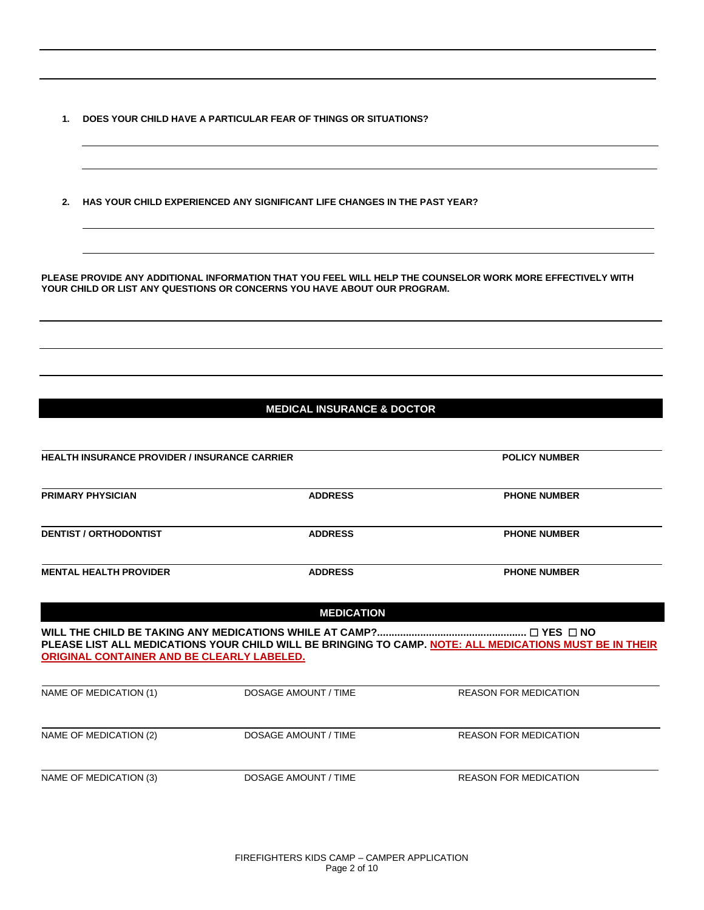- **1. DOES YOUR CHILD HAVE A PARTICULAR FEAR OF THINGS OR SITUATIONS?**
- **2. HAS YOUR CHILD EXPERIENCED ANY SIGNIFICANT LIFE CHANGES IN THE PAST YEAR?**

**PLEASE PROVIDE ANY ADDITIONAL INFORMATION THAT YOU FEEL WILL HELP THE COUNSELOR WORK MORE EFFECTIVELY WITH YOUR CHILD OR LIST ANY QUESTIONS OR CONCERNS YOU HAVE ABOUT OUR PROGRAM.** 

#### **MEDICAL INSURANCE & DOCTOR**

| <b>HEALTH INSURANCE PROVIDER / INSURANCE CARRIER</b> |                             | <b>POLICY NUMBER</b>                                                                                    |  |
|------------------------------------------------------|-----------------------------|---------------------------------------------------------------------------------------------------------|--|
| <b>PRIMARY PHYSICIAN</b>                             | <b>ADDRESS</b>              | <b>PHONE NUMBER</b>                                                                                     |  |
| <b>DENTIST / ORTHODONTIST</b>                        | <b>ADDRESS</b>              | <b>PHONE NUMBER</b>                                                                                     |  |
| <b>MENTAL HEALTH PROVIDER</b>                        | <b>ADDRESS</b>              | <b>PHONE NUMBER</b>                                                                                     |  |
|                                                      | <b>MEDICATION</b>           |                                                                                                         |  |
| ORIGINAL CONTAINER AND BE CLEARLY LABELED.           |                             | PLEASE LIST ALL MEDICATIONS YOUR CHILD WILL BE BRINGING TO CAMP. NOTE: ALL MEDICATIONS MUST BE IN THEIR |  |
| NAME OF MEDICATION (1)                               | <b>DOSAGE AMOUNT / TIME</b> | <b>REASON FOR MEDICATION</b>                                                                            |  |
| NAME OF MEDICATION (2)                               | <b>DOSAGE AMOUNT / TIME</b> | <b>REASON FOR MEDICATION</b>                                                                            |  |
| NAME OF MEDICATION (3)                               | <b>DOSAGE AMOUNT / TIME</b> | <b>REASON FOR MEDICATION</b>                                                                            |  |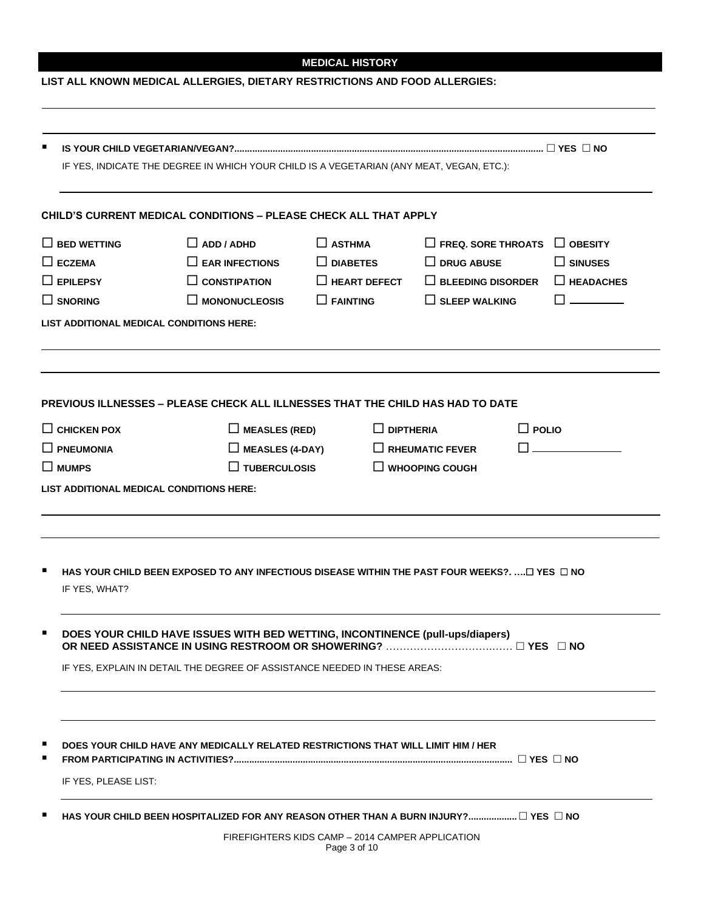### **MEDICAL HISTORY**

### **LIST ALL KNOWN MEDICAL ALLERGIES, DIETARY RESTRICTIONS AND FOOD ALLERGIES:**

| IF YES, INDICATE THE DEGREE IN WHICH YOUR CHILD IS A VEGETARIAN (ANY MEAT, VEGAN, ETC.): |                                                                                               |                     |                           |                  |
|------------------------------------------------------------------------------------------|-----------------------------------------------------------------------------------------------|---------------------|---------------------------|------------------|
|                                                                                          | <b>CHILD'S CURRENT MEDICAL CONDITIONS - PLEASE CHECK ALL THAT APPLY</b>                       |                     |                           |                  |
| $\Box$ BED WETTING                                                                       | $\Box$ ADD / ADHD                                                                             | $\Box$ ASTHMA       | $\Box$ FREQ. SORE THROATS | $\Box$ OBESITY   |
| $\square$ ECZEMA                                                                         | $\Box$ EAR INFECTIONS                                                                         | $\Box$ DIABETES     | $\Box$ DRUG ABUSE         | $\Box$ SINUSES   |
| $\Box$ EPILEPSY                                                                          | $\Box$ CONSTIPATION                                                                           | $\Box$ HEART DEFECT | $\Box$ BLEEDING DISORDER  | $\Box$ HEADACHES |
| $\square$ snoring                                                                        | $\Box$ MONONUCLEOSIS                                                                          | $\Box$ FAINTING     | $\Box$ SLEEP WALKING      |                  |
|                                                                                          | LIST ADDITIONAL MEDICAL CONDITIONS HERE:                                                      |                     |                           |                  |
|                                                                                          | <b>PREVIOUS ILLNESSES – PLEASE CHECK ALL ILLNESSES THAT THE CHILD HAS HAD TO DATE</b>         |                     |                           |                  |
| $\Box$ CHICKEN POX                                                                       | $\Box$ MEASLES (RED)                                                                          | $\Box$ DIPTHERIA    | $\Box$ POLIO              |                  |
| $\square$ pneumonia                                                                      | $\Box$ MEASLES (4-DAY)                                                                        |                     | $\Box$ RHEUMATIC FEVER    |                  |
| $\square$ MUMPS                                                                          | $\Box$ TUBERCULOSIS                                                                           |                     | $\Box$ WHOOPING COUGH     |                  |
|                                                                                          | HAS YOUR CHILD BEEN EXPOSED TO ANY INFECTIOUS DISEASE WITHIN THE PAST FOUR WEEKS?. □ YES □ NO |                     |                           |                  |
| IF YES, WHAT?                                                                            |                                                                                               |                     |                           |                  |
|                                                                                          | DOES YOUR CHILD HAVE ISSUES WITH BED WETTING, INCONTINENCE (pull-ups/diapers)                 |                     |                           |                  |
|                                                                                          |                                                                                               |                     |                           |                  |
|                                                                                          | IF YES, EXPLAIN IN DETAIL THE DEGREE OF ASSISTANCE NEEDED IN THESE AREAS:                     |                     |                           |                  |
|                                                                                          |                                                                                               |                     |                           |                  |
|                                                                                          | DOES YOUR CHILD HAVE ANY MEDICALLY RELATED RESTRICTIONS THAT WILL LIMIT HIM / HER             |                     |                           |                  |
| IF YES, PLEASE LIST:                                                                     |                                                                                               |                     |                           |                  |
|                                                                                          | HAS YOUR CHILD BEEN HOSPITALIZED FOR ANY REASON OTHER THAN A BURN INJURY? □ YES □ NO          |                     |                           |                  |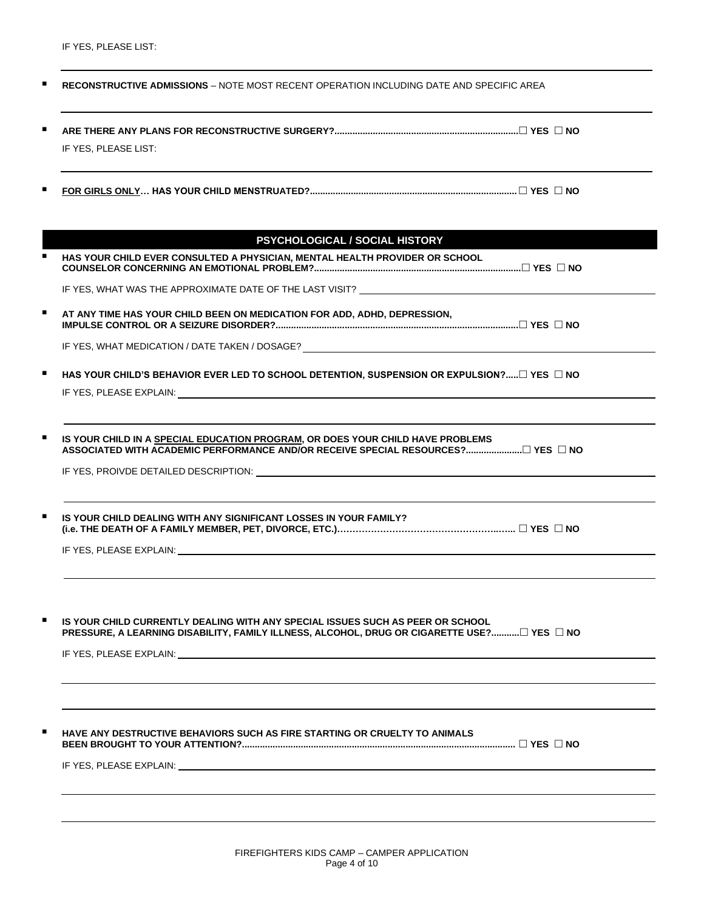IF YES, PLEASE LIST:

| IF YES, PLEASE LIST:                                                                                                                                                                                                           |
|--------------------------------------------------------------------------------------------------------------------------------------------------------------------------------------------------------------------------------|
|                                                                                                                                                                                                                                |
| PSYCHOLOGICAL / SOCIAL HISTORY                                                                                                                                                                                                 |
| HAS YOUR CHILD EVER CONSULTED A PHYSICIAN, MENTAL HEALTH PROVIDER OR SCHOOL                                                                                                                                                    |
| IF YES, WHAT WAS THE APPROXIMATE DATE OF THE LAST VISIT? ________________________                                                                                                                                              |
| AT ANY TIME HAS YOUR CHILD BEEN ON MEDICATION FOR ADD, ADHD, DEPRESSION,                                                                                                                                                       |
|                                                                                                                                                                                                                                |
| HAS YOUR CHILD'S BEHAVIOR EVER LED TO SCHOOL DETENTION, SUSPENSION OR EXPULSION? $\square$ YES $\square$ NO                                                                                                                    |
|                                                                                                                                                                                                                                |
| IF YES, PROIVDE DETAILED DESCRIPTION: University of the contract of the contract of the contract of the contract of the contract of the contract of the contract of the contract of the contract of the contract of the contra |
| IS YOUR CHILD DEALING WITH ANY SIGNIFICANT LOSSES IN YOUR FAMILY?                                                                                                                                                              |
| IF YES, PLEASE EXPLAIN: University of the state of the state of the state of the state of the state of the state of the state of the state of the state of the state of the state of the state of the state of the state of th |
|                                                                                                                                                                                                                                |
| IS YOUR CHILD CURRENTLY DEALING WITH ANY SPECIAL ISSUES SUCH AS PEER OR SCHOOL<br>PRESSURE, A LEARNING DISABILITY, FAMILY ILLNESS, ALCOHOL, DRUG OR CIGARETTE USE?□ YES □ NO                                                   |
|                                                                                                                                                                                                                                |
|                                                                                                                                                                                                                                |
| HAVE ANY DESTRUCTIVE BEHAVIORS SUCH AS FIRE STARTING OR CRUELTY TO ANIMALS                                                                                                                                                     |
|                                                                                                                                                                                                                                |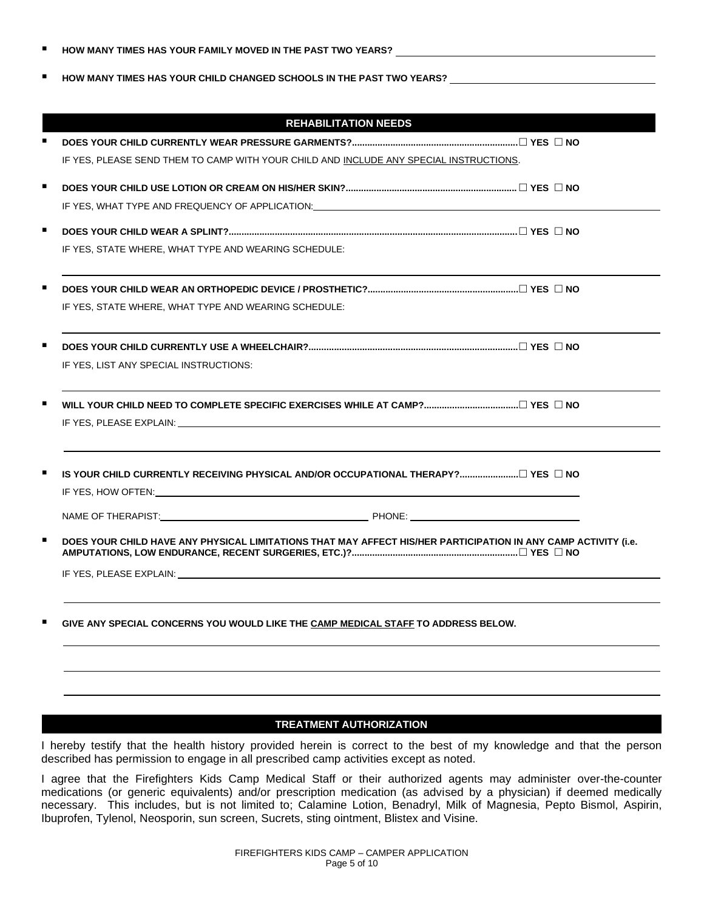|  | HOW MANY TIMES HAS YOUR FAMILY MOVED IN THE PAST TWO YEARS? |
|--|-------------------------------------------------------------|
|--|-------------------------------------------------------------|

▪ **HOW MANY TIMES HAS YOUR CHILD CHANGED SCHOOLS IN THE PAST TWO YEARS?** 

|   | <b>REHABILITATION NEEDS</b>                                                                                                                                                                                                    |
|---|--------------------------------------------------------------------------------------------------------------------------------------------------------------------------------------------------------------------------------|
|   |                                                                                                                                                                                                                                |
|   | IF YES, PLEASE SEND THEM TO CAMP WITH YOUR CHILD AND INCLUDE ANY SPECIAL INSTRUCTIONS.                                                                                                                                         |
| п |                                                                                                                                                                                                                                |
|   | IF YES, WHAT TYPE AND FREQUENCY OF APPLICATION: THE YES, WHAT TYPE AND FREQUENCY OF APPLICATION:                                                                                                                               |
|   |                                                                                                                                                                                                                                |
|   |                                                                                                                                                                                                                                |
|   | IF YES, STATE WHERE, WHAT TYPE AND WEARING SCHEDULE:                                                                                                                                                                           |
|   |                                                                                                                                                                                                                                |
|   | IF YES, STATE WHERE, WHAT TYPE AND WEARING SCHEDULE:                                                                                                                                                                           |
|   |                                                                                                                                                                                                                                |
|   | IF YES, LIST ANY SPECIAL INSTRUCTIONS:                                                                                                                                                                                         |
|   |                                                                                                                                                                                                                                |
|   |                                                                                                                                                                                                                                |
|   | IS YOUR CHILD CURRENTLY RECEIVING PHYSICAL AND/OR OCCUPATIONAL THERAPY? □ YES □ NO                                                                                                                                             |
|   |                                                                                                                                                                                                                                |
|   |                                                                                                                                                                                                                                |
|   | DOES YOUR CHILD HAVE ANY PHYSICAL LIMITATIONS THAT MAY AFFECT HIS/HER PARTICIPATION IN ANY CAMP ACTIVITY (i.e.                                                                                                                 |
|   | IF YES, PLEASE EXPLAIN: THE RESERVE OF THE RESERVE OF THE RESERVE OF THE RESERVE OF THE RESERVE OF THE RESERVE OF THE RESERVE OF THE RESERVE OF THE RESERVE OF THE RESERVE OF THE RESERVE OF THE RESERVE OF THE RESERVE OF THE |
|   | GIVE ANY SPECIAL CONCERNS YOU WOULD LIKE THE CAMP MEDICAL STAFF TO ADDRESS BELOW.                                                                                                                                              |
|   |                                                                                                                                                                                                                                |
|   |                                                                                                                                                                                                                                |

#### **TREATMENT AUTHORIZATION**

I hereby testify that the health history provided herein is correct to the best of my knowledge and that the person described has permission to engage in all prescribed camp activities except as noted.

I agree that the Firefighters Kids Camp Medical Staff or their authorized agents may administer over-the-counter medications (or generic equivalents) and/or prescription medication (as advised by a physician) if deemed medically necessary. This includes, but is not limited to; Calamine Lotion, Benadryl, Milk of Magnesia, Pepto Bismol, Aspirin, Ibuprofen, Tylenol, Neosporin, sun screen, Sucrets, sting ointment, Blistex and Visine.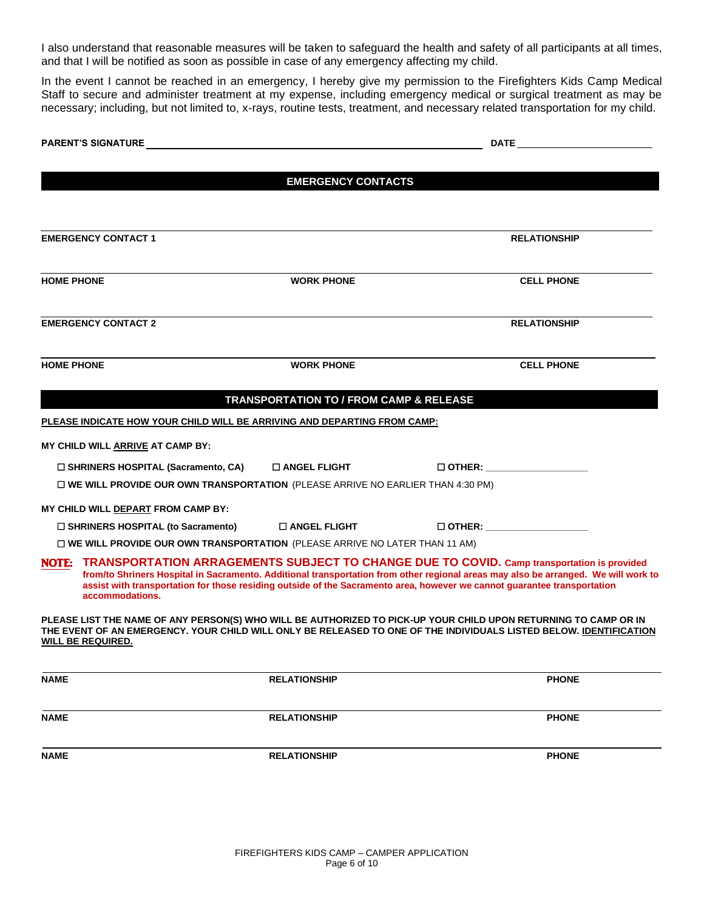I also understand that reasonable measures will be taken to safeguard the health and safety of all participants at all times, and that I will be notified as soon as possible in case of any emergency affecting my child.

In the event I cannot be reached in an emergency, I hereby give my permission to the Firefighters Kids Camp Medical Staff to secure and administer treatment at my expense, including emergency medical or surgical treatment as may be necessary; including, but not limited to, x-rays, routine tests, treatment, and necessary related transportation for my child.

|                                                                                          | <b>EMERGENCY CONTACTS</b>               |                                                                                                                                                                                                                                                                                                                                                                    |  |  |
|------------------------------------------------------------------------------------------|-----------------------------------------|--------------------------------------------------------------------------------------------------------------------------------------------------------------------------------------------------------------------------------------------------------------------------------------------------------------------------------------------------------------------|--|--|
|                                                                                          |                                         |                                                                                                                                                                                                                                                                                                                                                                    |  |  |
| <b>EMERGENCY CONTACT 1</b>                                                               |                                         | <b>RELATIONSHIP</b>                                                                                                                                                                                                                                                                                                                                                |  |  |
| <b>HOME PHONE</b>                                                                        | <b>WORK PHONE</b>                       | <b>CELL PHONE</b>                                                                                                                                                                                                                                                                                                                                                  |  |  |
| <b>EMERGENCY CONTACT 2</b>                                                               |                                         | <b>RELATIONSHIP</b>                                                                                                                                                                                                                                                                                                                                                |  |  |
| <b>HOME PHONE</b>                                                                        | <b>WORK PHONE</b>                       | <b>CELL PHONE</b>                                                                                                                                                                                                                                                                                                                                                  |  |  |
|                                                                                          | TRANSPORTATION TO / FROM CAMP & RELEASE |                                                                                                                                                                                                                                                                                                                                                                    |  |  |
| PLEASE INDICATE HOW YOUR CHILD WILL BE ARRIVING AND DEPARTING FROM CAMP:                 |                                         |                                                                                                                                                                                                                                                                                                                                                                    |  |  |
| MY CHILD WILL ARRIVE AT CAMP BY:                                                         |                                         |                                                                                                                                                                                                                                                                                                                                                                    |  |  |
| □ SHRINERS HOSPITAL (Sacramento, CA)                                                     | $\square$ ANGEL FLIGHT                  |                                                                                                                                                                                                                                                                                                                                                                    |  |  |
| $\square$ WE WILL PROVIDE OUR OWN TRANSPORTATION (PLEASE ARRIVE NO EARLIER THAN 4:30 PM) |                                         |                                                                                                                                                                                                                                                                                                                                                                    |  |  |
| MY CHILD WILL DEPART FROM CAMP BY:                                                       |                                         |                                                                                                                                                                                                                                                                                                                                                                    |  |  |
| □ SHRINERS HOSPITAL (to Sacramento) □ ANGEL FLIGHT                                       |                                         |                                                                                                                                                                                                                                                                                                                                                                    |  |  |
| $\square$ WE WILL PROVIDE OUR OWN TRANSPORTATION (PLEASE ARRIVE NO LATER THAN 11 AM)     |                                         |                                                                                                                                                                                                                                                                                                                                                                    |  |  |
| accommodations.                                                                          |                                         | NOTE: TRANSPORTATION ARRAGEMENTS SUBJECT TO CHANGE DUE TO COVID. Camp transportation is provided<br>from/to Shriners Hospital in Sacramento. Additional transportation from other regional areas may also be arranged. We will work to<br>assist with transportation for those residing outside of the Sacramento area, however we cannot guarantee transportation |  |  |
| <b>WILL BE REQUIRED.</b>                                                                 |                                         | PLEASE LIST THE NAME OF ANY PERSON(S) WHO WILL BE AUTHORIZED TO PICK-UP YOUR CHILD UPON RETURNING TO CAMP OR IN<br>THE EVENT OF AN EMERGENCY. YOUR CHILD WILL ONLY BE RELEASED TO ONE OF THE INDIVIDUALS LISTED BELOW. IDENTIFICATION                                                                                                                              |  |  |
| <b>NAME</b>                                                                              | <b>RELATIONSHIP</b>                     | <b>PHONE</b>                                                                                                                                                                                                                                                                                                                                                       |  |  |
| <b>NAME</b>                                                                              | <b>RELATIONSHIP</b>                     | <b>PHONE</b>                                                                                                                                                                                                                                                                                                                                                       |  |  |
| <b>NAME</b>                                                                              | <b>RELATIONSHIP</b>                     | <b>PHONE</b>                                                                                                                                                                                                                                                                                                                                                       |  |  |
|                                                                                          |                                         |                                                                                                                                                                                                                                                                                                                                                                    |  |  |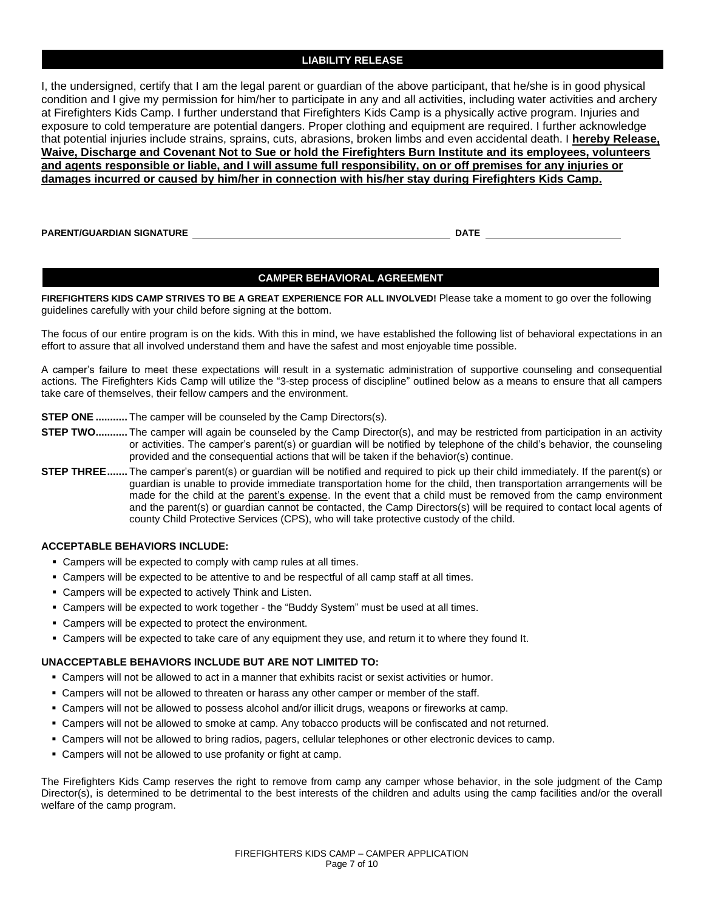#### **LIABILITY RELEASE**

I, the undersigned, certify that I am the legal parent or guardian of the above participant, that he/she is in good physical condition and I give my permission for him/her to participate in any and all activities, including water activities and archery at Firefighters Kids Camp. I further understand that Firefighters Kids Camp is a physically active program. Injuries and exposure to cold temperature are potential dangers. Proper clothing and equipment are required. I further acknowledge that potential injuries include strains, sprains, cuts, abrasions, broken limbs and even accidental death. I **hereby Release, Waive, Discharge and Covenant Not to Sue or hold the Firefighters Burn Institute and its employees, volunteers and agents responsible or liable, and I will assume full responsibility, on or off premises for any injuries or damages incurred or caused by him/her in connection with his/her stay during Firefighters Kids Camp.**

**PARENT/GUARDIAN SIGNATURE DATE**

#### **CAMPER BEHAVIORAL AGREEMENT**

**FIREFIGHTERS KIDS CAMP STRIVES TO BE A GREAT EXPERIENCE FOR ALL INVOLVED!** Please take a moment to go over the following guidelines carefully with your child before signing at the bottom.

The focus of our entire program is on the kids. With this in mind, we have established the following list of behavioral expectations in an effort to assure that all involved understand them and have the safest and most enjoyable time possible.

A camper's failure to meet these expectations will result in a systematic administration of supportive counseling and consequential actions. The Firefighters Kids Camp will utilize the "3-step process of discipline" outlined below as a means to ensure that all campers take care of themselves, their fellow campers and the environment.

**STEP ONE** ........... The camper will be counseled by the Camp Directors(s).

- **STEP TWO...........** The camper will again be counseled by the Camp Director(s), and may be restricted from participation in an activity or activities. The camper's parent(s) or guardian will be notified by telephone of the child's behavior, the counseling provided and the consequential actions that will be taken if the behavior(s) continue.
- **STEP THREE.......** The camper's parent(s) or guardian will be notified and required to pick up their child immediately. If the parent(s) or guardian is unable to provide immediate transportation home for the child, then transportation arrangements will be made for the child at the parent's expense. In the event that a child must be removed from the camp environment and the parent(s) or guardian cannot be contacted, the Camp Directors(s) will be required to contact local agents of county Child Protective Services (CPS), who will take protective custody of the child.

#### **ACCEPTABLE BEHAVIORS INCLUDE:**

- Campers will be expected to comply with camp rules at all times.
- Campers will be expected to be attentive to and be respectful of all camp staff at all times.
- Campers will be expected to actively Think and Listen.
- Campers will be expected to work together the "Buddy System" must be used at all times.
- Campers will be expected to protect the environment.
- Campers will be expected to take care of any equipment they use, and return it to where they found It.

#### **UNACCEPTABLE BEHAVIORS INCLUDE BUT ARE NOT LIMITED TO:**

- **EXECT** Campers will not be allowed to act in a manner that exhibits racist or sexist activities or humor.
- **EXECT ADDET CAMPER IN THE UP TO A LOCAL THE VIOLET STARK IS CONTEX** CAMPLER STAFF. **CONTEX STARK IS CONTEX STARK IS CONTEX STARK IS CONTEX STARK IS CONTEX STARK IS CONTEX STARK IS CONTEX STARK IS CONTEX STARK IS CONTEX ST**
- Campers will not be allowed to possess alcohol and/or illicit drugs, weapons or fireworks at camp.
- Campers will not be allowed to smoke at camp. Any tobacco products will be confiscated and not returned.
- Campers will not be allowed to bring radios, pagers, cellular telephones or other electronic devices to camp.
- Campers will not be allowed to use profanity or fight at camp.

The Firefighters Kids Camp reserves the right to remove from camp any camper whose behavior, in the sole judgment of the Camp Director(s), is determined to be detrimental to the best interests of the children and adults using the camp facilities and/or the overall welfare of the camp program.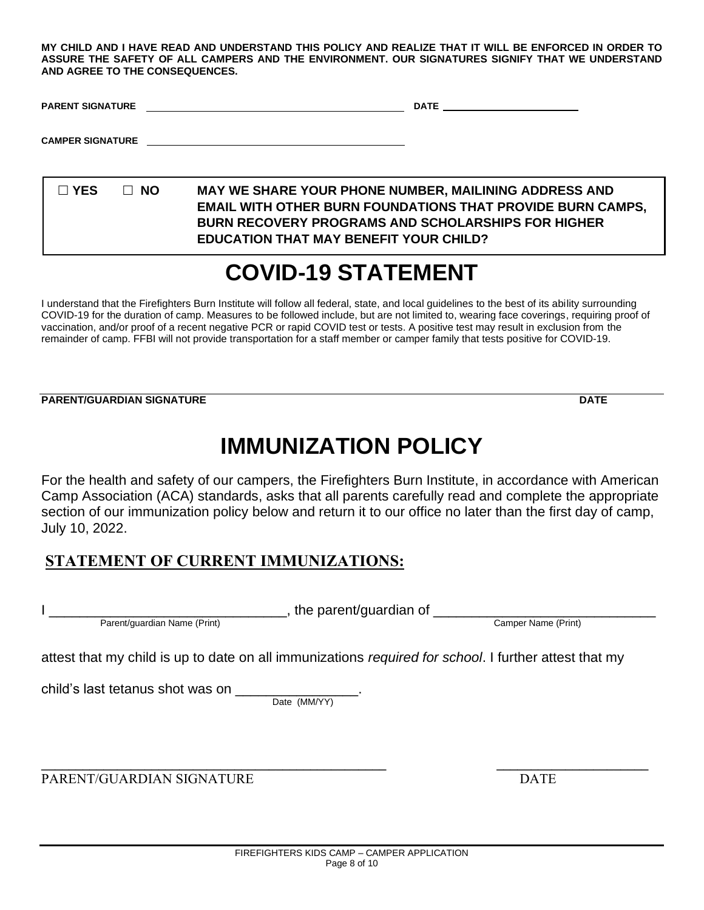**MY CHILD AND I HAVE READ AND UNDERSTAND THIS POLICY AND REALIZE THAT IT WILL BE ENFORCED IN ORDER TO ASSURE THE SAFETY OF ALL CAMPERS AND THE ENVIRONMENT. OUR SIGNATURES SIGNIFY THAT WE UNDERSTAND AND AGREE TO THE CONSEQUENCES.**

| <b>PARENT SIGNATURE</b> | <b>DATE</b> |
|-------------------------|-------------|
|                         |             |

**CAMPER SIGNATURE**

 **YES NO MAY WE SHARE YOUR PHONE NUMBER, MAILINING ADDRESS AND EMAIL WITH OTHER BURN FOUNDATIONS THAT PROVIDE BURN CAMPS, BURN RECOVERY PROGRAMS AND SCHOLARSHIPS FOR HIGHER EDUCATION THAT MAY BENEFIT YOUR CHILD?**

# **COVID-19 STATEMENT**

I understand that the Firefighters Burn Institute will follow all federal, state, and local guidelines to the best of its ability surrounding COVID-19 for the duration of camp. Measures to be followed include, but are not limited to, wearing face coverings, requiring proof of vaccination, and/or proof of a recent negative PCR or rapid COVID test or tests. A positive test may result in exclusion from the remainder of camp. FFBI will not provide transportation for a staff member or camper family that tests positive for COVID-19.

**PARENT/GUARDIAN SIGNATURE DATE**

# **IMMUNIZATION POLICY**

For the health and safety of our campers, the Firefighters Burn Institute, in accordance with American Camp Association (ACA) standards, asks that all parents carefully read and complete the appropriate section of our immunization policy below and return it to our office no later than the first day of camp, July 10, 2022.

# **STATEMENT OF CURRENT IMMUNIZATIONS:**

Parent/guardian Name (Print) Camper Name (Print)

I \_\_\_\_\_\_\_\_\_\_\_\_\_\_\_\_\_\_\_\_\_\_\_\_\_\_\_\_\_\_\_, the parent/guardian of \_\_\_\_\_\_\_\_\_\_\_\_\_\_\_\_\_\_\_\_\_\_\_\_\_\_\_\_\_

attest that my child is up to date on all immunizations *required for school*. I further attest that my

child's last tetanus shot was on \_\_\_\_\_\_

Date (MM/YY)

PARENT/GUARDIAN SIGNATURE **Example 2018** DATE

**\_\_\_\_\_\_\_\_\_\_\_\_\_\_\_\_\_\_\_\_\_\_\_\_\_\_\_\_\_\_\_\_\_\_\_\_\_\_\_\_\_\_\_\_\_\_\_\_\_\_ \_\_\_\_\_\_\_\_\_\_\_\_\_\_\_\_\_\_\_\_\_\_**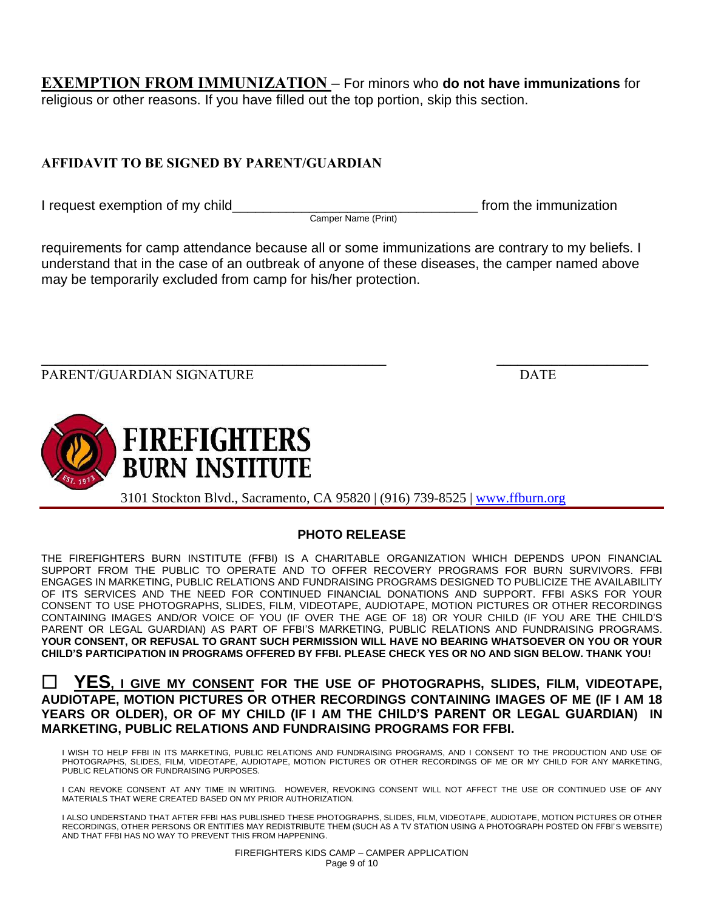**EXEMPTION FROM IMMUNIZATION –** For minors who **do not have immunizations** for religious or other reasons. If you have filled out the top portion, skip this section.

## **AFFIDAVIT TO BE SIGNED BY PARENT/GUARDIAN**

I request exemption of my child  $\blacksquare$ 

Camper Name (Print)

requirements for camp attendance because all or some immunizations are contrary to my beliefs. I understand that in the case of an outbreak of anyone of these diseases, the camper named above may be temporarily excluded from camp for his/her protection.

**\_\_\_\_\_\_\_\_\_\_\_\_\_\_\_\_\_\_\_\_\_\_\_\_\_\_\_\_\_\_\_\_\_\_\_\_\_\_\_\_\_\_\_\_\_\_\_\_\_\_ \_\_\_\_\_\_\_\_\_\_\_\_\_\_\_\_\_\_\_\_\_\_** PARENT/GUARDIAN SIGNATURE **Example 2018** DATE



3101 Stockton Blvd., Sacramento, CA 95820 | (916) 739-8525 | [www.ffburn.org](http://www.ffburn.org/)

# **PHOTO RELEASE**

THE FIREFIGHTERS BURN INSTITUTE (FFBI) IS A CHARITABLE ORGANIZATION WHICH DEPENDS UPON FINANCIAL SUPPORT FROM THE PUBLIC TO OPERATE AND TO OFFER RECOVERY PROGRAMS FOR BURN SURVIVORS. FFBI ENGAGES IN MARKETING, PUBLIC RELATIONS AND FUNDRAISING PROGRAMS DESIGNED TO PUBLICIZE THE AVAILABILITY OF ITS SERVICES AND THE NEED FOR CONTINUED FINANCIAL DONATIONS AND SUPPORT. FFBI ASKS FOR YOUR CONSENT TO USE PHOTOGRAPHS, SLIDES, FILM, VIDEOTAPE, AUDIOTAPE, MOTION PICTURES OR OTHER RECORDINGS CONTAINING IMAGES AND/OR VOICE OF YOU (IF OVER THE AGE OF 18) OR YOUR CHILD (IF YOU ARE THE CHILD'S PARENT OR LEGAL GUARDIAN) AS PART OF FFBI'S MARKETING, PUBLIC RELATIONS AND FUNDRAISING PROGRAMS. **YOUR CONSENT, OR REFUSAL TO GRANT SUCH PERMISSION WILL HAVE NO BEARING WHATSOEVER ON YOU OR YOUR CHILD'S PARTICIPATION IN PROGRAMS OFFERED BY FFBI. PLEASE CHECK YES OR NO AND SIGN BELOW. THANK YOU!**

### **YES, I GIVE MY CONSENT FOR THE USE OF PHOTOGRAPHS, SLIDES, FILM, VIDEOTAPE, AUDIOTAPE, MOTION PICTURES OR OTHER RECORDINGS CONTAINING IMAGES OF ME (IF I AM 18 YEARS OR OLDER), OR OF MY CHILD (IF I AM THE CHILD'S PARENT OR LEGAL GUARDIAN) IN MARKETING, PUBLIC RELATIONS AND FUNDRAISING PROGRAMS FOR FFBI.**

I WISH TO HELP FFBI IN ITS MARKETING, PUBLIC RELATIONS AND FUNDRAISING PROGRAMS, AND I CONSENT TO THE PRODUCTION AND USE OF PHOTOGRAPHS, SLIDES, FILM, VIDEOTAPE, AUDIOTAPE, MOTION PICTURES OR OTHER RECORDINGS OF ME OR MY CHILD FOR ANY MARKETING, PUBLIC RELATIONS OR FUNDRAISING PURPOSES.

I CAN REVOKE CONSENT AT ANY TIME IN WRITING. HOWEVER, REVOKING CONSENT WILL NOT AFFECT THE USE OR CONTINUED USE OF ANY MATERIALS THAT WERE CREATED BASED ON MY PRIOR AUTHORIZATION.

I ALSO UNDERSTAND THAT AFTER FFBI HAS PUBLISHED THESE PHOTOGRAPHS, SLIDES, FILM, VIDEOTAPE, AUDIOTAPE, MOTION PICTURES OR OTHER RECORDINGS, OTHER PERSONS OR ENTITIES MAY REDISTRIBUTE THEM (SUCH AS A TV STATION USING A PHOTOGRAPH POSTED ON FFBI'S WEBSITE) AND THAT FFBI HAS NO WAY TO PREVENT THIS FROM HAPPENING.